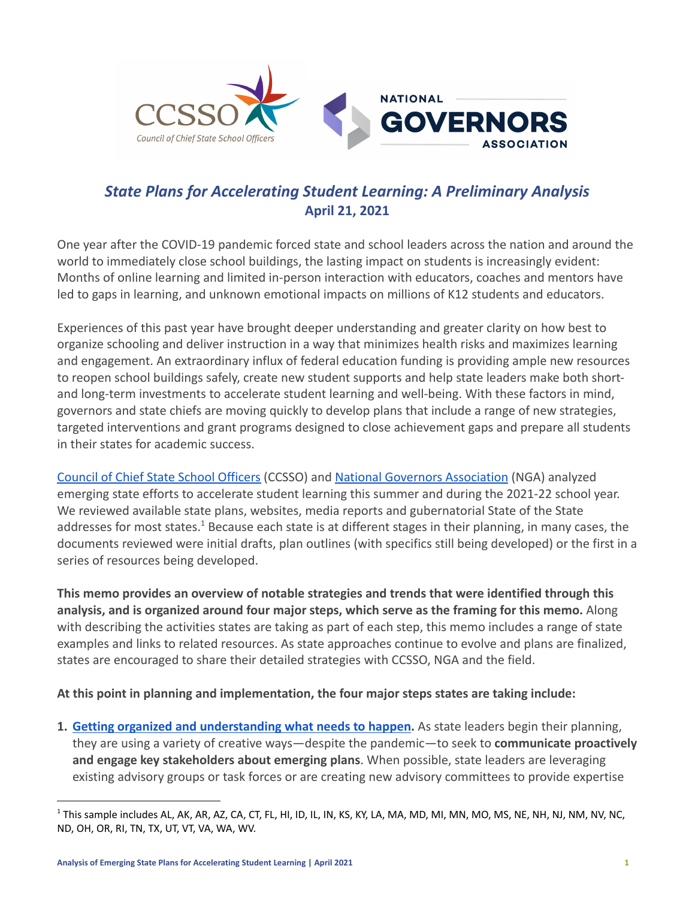

# *State Plans for Accelerating Student Learning: A Preliminary Analysis* **April 21, 2021**

One year after the COVID-19 pandemic forced state and school leaders across the nation and around the world to immediately close school buildings, the lasting impact on students is increasingly evident: Months of online learning and limited in-person interaction with educators, coaches and mentors have led to gaps in learning, and unknown emotional impacts on millions of K12 students and educators.

Experiences of this past year have brought deeper understanding and greater clarity on how best to organize schooling and deliver instruction in a way that minimizes health risks and maximizes learning and engagement. An extraordinary influx of federal education funding is providing ample new resources to reopen school buildings safely, create new student supports and help state leaders make both shortand long-term investments to accelerate student learning and well-being. With these factors in mind, governors and state chiefs are moving quickly to develop plans that include a range of new strategies, targeted interventions and grant programs designed to close achievement gaps and prepare all students in their states for academic success.

[Council of Chief State School Officers](https://ccsso.org/) (CCSSO) and [National Governors Association](https://www.nga.org/) (NGA) analyzed emerging state efforts to accelerate student learning this summer and during the 2021-22 school year. We reviewed available state plans, websites, media reports and gubernatorial State of the State addresses for most states.<sup>1</sup> Because each state is at different stages in their planning, in many cases, the documents reviewed were initial drafts, plan outlines (with specifics still being developed) or the first in a series of resources being developed.

**This memo provides an overview of notable strategies and trends that were identified through this analysis, and is organized around four major steps, which serve as the framing for this memo.** Along with describing the activities states are taking as part of each step, this memo includes a range of state examples and links to related resources. As state approaches continue to evolve and plans are finalized, states are encouraged to share their detailed strategies with CCSSO, NGA and the field.

#### **At this point in planning and implementation, the four major steps states are taking include:**

**1. [Getting organized and understanding what needs to](#page-2-0) happen.** As state leaders begin their planning, they are using a variety of creative ways—despite the pandemic—to seek to **communicate proactively and engage key stakeholders about emerging plans**. When possible, state leaders are leveraging existing advisory groups or task forces or are creating new advisory committees to provide expertise

 $1$  This sample includes AL, AK, AR, AZ, CA, CT, FL, HI, ID, IL, IN, KS, KY, LA, MA, MD, MI, MN, MO, MS, NE, NH, NJ, NM, NV, NC, ND, OH, OR, RI, TN, TX, UT, VT, VA, WA, WV.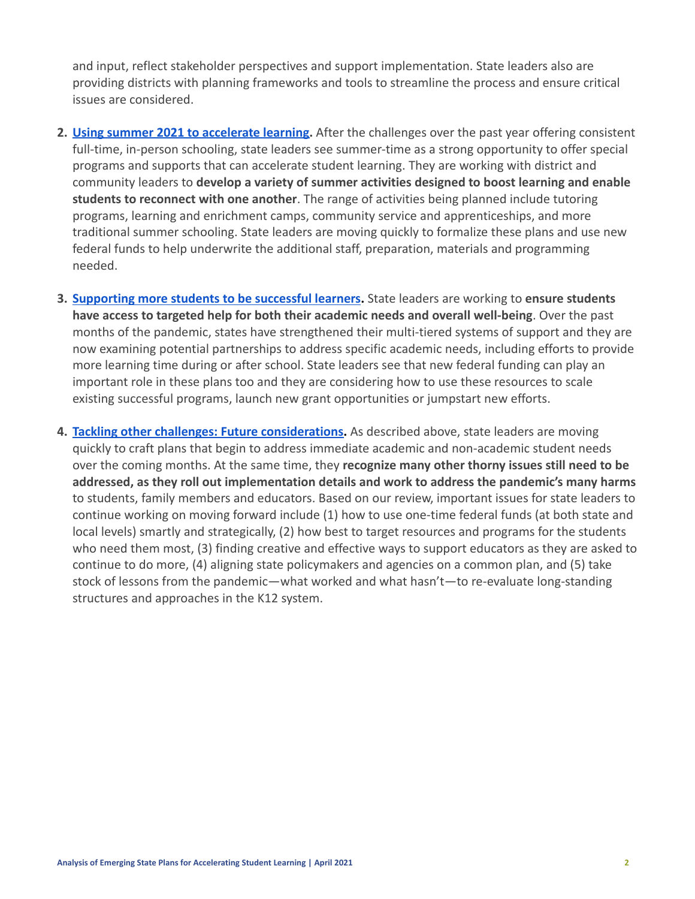and input, reflect stakeholder perspectives and support implementation. State leaders also are providing districts with planning frameworks and tools to streamline the process and ensure critical issues are considered.

- **2. [Using summer 2021 to accelerate learning.](#page-4-0)** After the challenges over the past year offering consistent full-time, in-person schooling, state leaders see summer-time as a strong opportunity to offer special programs and supports that can accelerate student learning. They are working with district and community leaders to **develop a variety of summer activities designed to boost learning and enable students to reconnect with one another**. The range of activities being planned include tutoring programs, learning and enrichment camps, community service and apprenticeships, and more traditional summer schooling. State leaders are moving quickly to formalize these plans and use new federal funds to help underwrite the additional staff, preparation, materials and programming needed.
- **3. [Supporting more students to be successful learners](#page-6-0).** State leaders are working to **ensure students have access to targeted help for both their academic needs and overall well-being**. Over the past months of the pandemic, states have strengthened their multi-tiered systems of support and they are now examining potential partnerships to address specific academic needs, including efforts to provide more learning time during or after school. State leaders see that new federal funding can play an important role in these plans too and they are considering how to use these resources to scale existing successful programs, launch new grant opportunities or jumpstart new efforts.
- **4. [Tackling other challenges: Future considerations.](#page-9-0)** As described above, state leaders are moving quickly to craft plans that begin to address immediate academic and non-academic student needs over the coming months. At the same time, they **recognize many other thorny issues still need to be addressed, as they roll out implementation details and work to address the pandemic's many harms** to students, family members and educators. Based on our review, important issues for state leaders to continue working on moving forward include (1) how to use one-time federal funds (at both state and local levels) smartly and strategically, (2) how best to target resources and programs for the students who need them most, (3) finding creative and effective ways to support educators as they are asked to continue to do more, (4) aligning state policymakers and agencies on a common plan, and (5) take stock of lessons from the pandemic—what worked and what hasn't—to re-evaluate long-standing structures and approaches in the K12 system.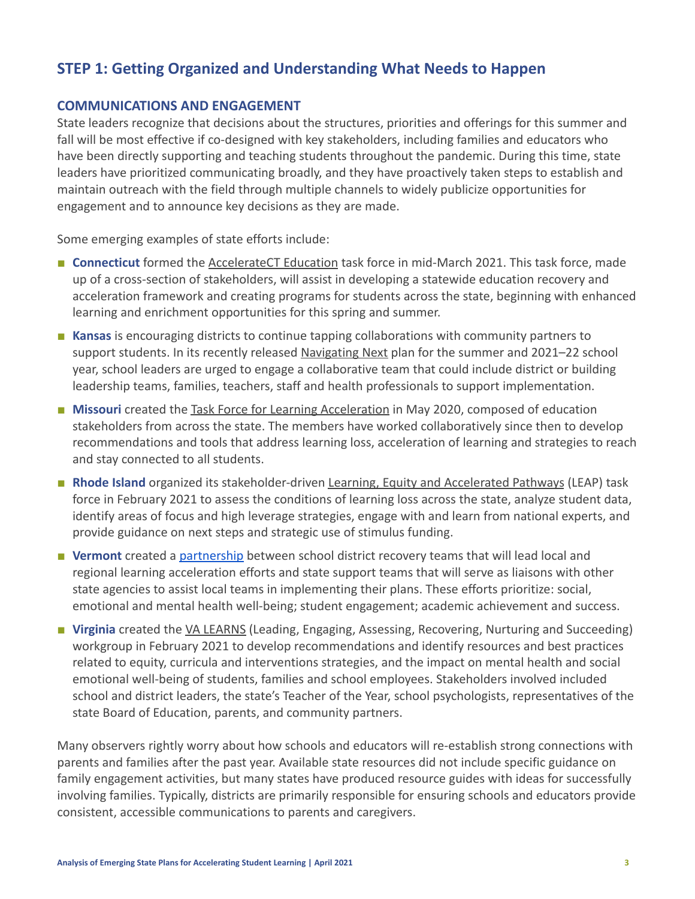# <span id="page-2-0"></span>**STEP 1: Getting Organized and Understanding What Needs to Happen**

### **COMMUNICATIONS AND ENGAGEMENT**

State leaders recognize that decisions about the structures, priorities and offerings for this summer and fall will be most effective if co-designed with key stakeholders, including families and educators who have been directly supporting and teaching students throughout the pandemic. During this time, state leaders have prioritized communicating broadly, and they have proactively taken steps to establish and maintain outreach with the field through multiple channels to widely publicize opportunities for engagement and to announce key decisions as they are made.

Some emerging examples of state efforts include:

- **Connecticut** formed the [AccelerateCT Education](https://portal.ct.gov/SDE/Press-Room/Press-Releases/2021/AccelerateCT-Task-Force-to-Inform-Statewide-Framework-for-Learning-Recovery-Post-Pandemic-Education) task force in mid-March 2021. This task force, made up of a cross-section of stakeholders, will assist in developing a statewide education recovery and acceleration framework and creating programs for students across the state, beginning with enhanced learning and enrichment opportunities for this spring and summer.
- **Kansas** is encouraging districts to continue tapping collaborations with community partners to support students. In its recently released [Navigating](https://www.ksde.org/Portals/0/Communications/Navigating%20Next/Navigating-Next.pdf) Next plan for the summer and 2021–22 school year, school leaders are urged to engage a collaborative team that could include district or building leadership teams, families, teachers, staff and health professionals to support implementation.
- **Missouri** created the [Task Force for Learning Acceleration](https://dese.mo.gov/college-career-readiness/curriculum/task-force-learning-acceleration) in May 2020, composed of education stakeholders from across the state. The members have worked collaboratively since then to develop recommendations and tools that address learning loss, acceleration of learning and strategies to reach and stay connected to all students.
- **Rhode Island** organized its stakeholder-driven Learning, [Equity and Accelerated Pathways](http://media.ride.ri.gov/boe/CESE/020921Meeting/Encl6b_LEAP_Task%20Force_2.9.2021.pdf) (LEAP) task force in February 2021 to assess the conditions of learning loss across the state, analyze student data, identify areas of focus and high leverage strategies, engage with and learn from national experts, and provide guidance on next steps and strategic use of stimulus funding.
- Vermont created a [partnership](https://education.vermont.gov/covid19/education-recovery) between school district recovery teams that will lead local and regional learning acceleration efforts and state support teams that will serve as liaisons with other state agencies to assist local teams in implementing their plans. These efforts prioritize: social, emotional and mental health well-being; student engagement; academic achievement and success.
- **Virginia** created the <u>[VA LEARNS](https://content.govdelivery.com/accounts/VADOE/bulletins/2c04abd)</u> (Leading, Engaging, Assessing, Recovering, Nurturing and Succeeding) workgroup in February 2021 to develop recommendations and identify resources and best practices related to equity, curricula and interventions strategies, and the impact on mental health and social emotional well-being of students, families and school employees. Stakeholders involved included school and district leaders, the state's Teacher of the Year, school psychologists, representatives of the state Board of Education, parents, and community partners.

Many observers rightly worry about how schools and educators will re-establish strong connections with parents and families after the past year. Available state resources did not include specific guidance on family engagement activities, but many states have produced resource guides with ideas for successfully involving families. Typically, districts are primarily responsible for ensuring schools and educators provide consistent, accessible communications to parents and caregivers.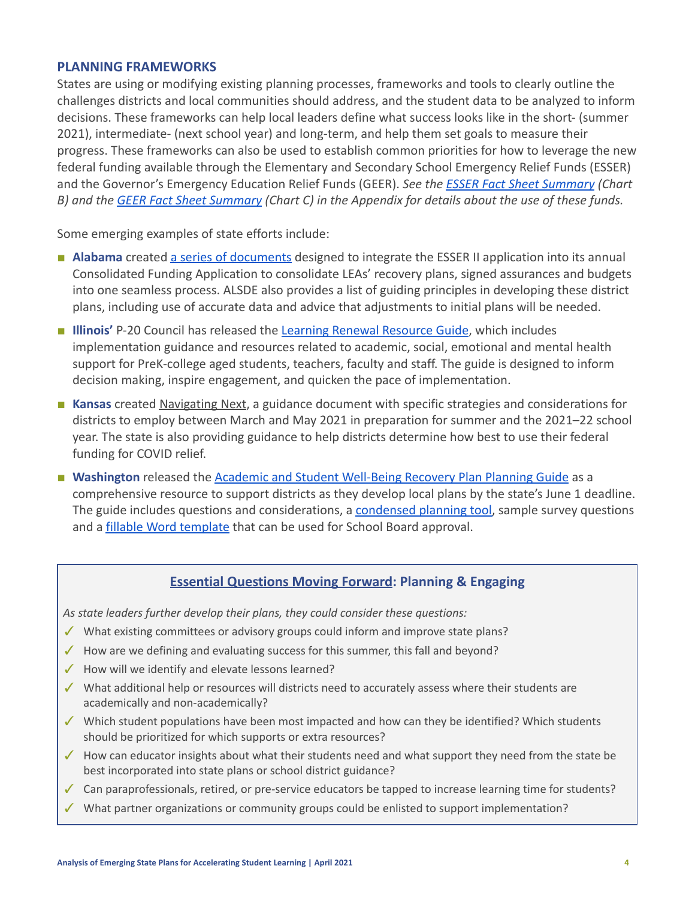#### **PLANNING FRAMEWORKS**

States are using or modifying existing planning processes, frameworks and tools to clearly outline the challenges districts and local communities should address, and the student data to be analyzed to inform decisions. These frameworks can help local leaders define what success looks like in the short- (summer 2021), intermediate- (next school year) and long-term, and help them set goals to measure their progress. These frameworks can also be used to establish common priorities for how to leverage the new federal funding available through the Elementary and Secondary School Emergency Relief Funds (ESSER) and the Governor's Emergency Education Relief Funds (GEER). *See the [ESSER Fact Sheet Summary](#page-12-0) (Chart B) and the [GEER Fact Sheet Summary](#page-13-0) (Chart C) in the Appendix for details about the use of these funds.*

Some emerging examples of state efforts include:

- **Alabama** created [a series of documents](https://www.alsde.edu/sites/memos/Memoranda/FY21-2049.pdf#search=consolidated%20funding%20application) designed to integrate the ESSER II application into its annual Consolidated Funding Application to consolidate LEAs' recovery plans, signed assurances and budgets into one seamless process. ALSDE also provides a list of guiding principles in developing these district plans, including use of accurate data and advice that adjustments to initial plans will be needed.
- **E Illinois'** P-20 Council has released the [Learning Renewal](https://www2.illinois.gov/sites/P20/Documents/P-20-Learning-Renewal-Resource-Guide-March2021-v19.pdf) Resource Guide, which includes implementation guidance and resources related to academic, social, emotional and mental health support for PreK-college aged students, teachers, faculty and staff. The guide is designed to inform decision making, inspire engagement, and quicken the pace of implementation.
- **Kansas** created [Navigating Next](https://www.ksde.org/Portals/0/Communications/Navigating%20Next/Navigating-Next.pdf), a guidance document with specific strategies and considerations for districts to employ between March and May 2021 in preparation for summer and the 2021–22 school year. The state is also providing guidance to help districts determine how best to use their federal funding for COVID relief.
- **■ Washington** released the [Academic and Student Well-Being](https://www.k12.wa.us/sites/default/files/public/communications/2021docs/OSPI-Academic-and-Student-Well-Being-Recovery-Plan-Planning-Guide.pdf) Recovery Plan Planning Guide as a comprehensive resource to support districts as they develop local plans by the state's June 1 deadline. The guide includes questions and considerations, a [condensed planning tool,](https://www.k12.wa.us/sites/default/files/public/communications/2021docs/Condensed-Planning-Tool-Academic-and-Student-Well-being-Recovery-Plan.pdf) sample survey questions and a [fillable Word template](https://www.k12.wa.us/sites/default/files/public/communications/2021docs/Fillable-LEA-Academic-and-Student-Well-being-Recovery-Plan.docx) that can be used for School Board approval.

#### **Essential Questions Moving Forward: Planning & Engaging**

*As state leaders further develop their plans, they could consider these questions:*

- ✓ What existing committees or advisory groups could inform and improve state plans?
- $\checkmark$  How are we defining and evaluating success for this summer, this fall and beyond?
- ✓ How will we identify and elevate lessons learned?
- ✓ What additional help or resources will districts need to accurately assess where their students are academically and non-academically?
- ✓ Which student populations have been most impacted and how can they be identified? Which students should be prioritized for which supports or extra resources?
- ✓ How can educator insights about what their students need and what support they need from the state be best incorporated into state plans or school district guidance?
- ✓ Can paraprofessionals, retired, or pre-service educators be tapped to increase learning time for students?
- ✓ What partner organizations or community groups could be enlisted to support implementation?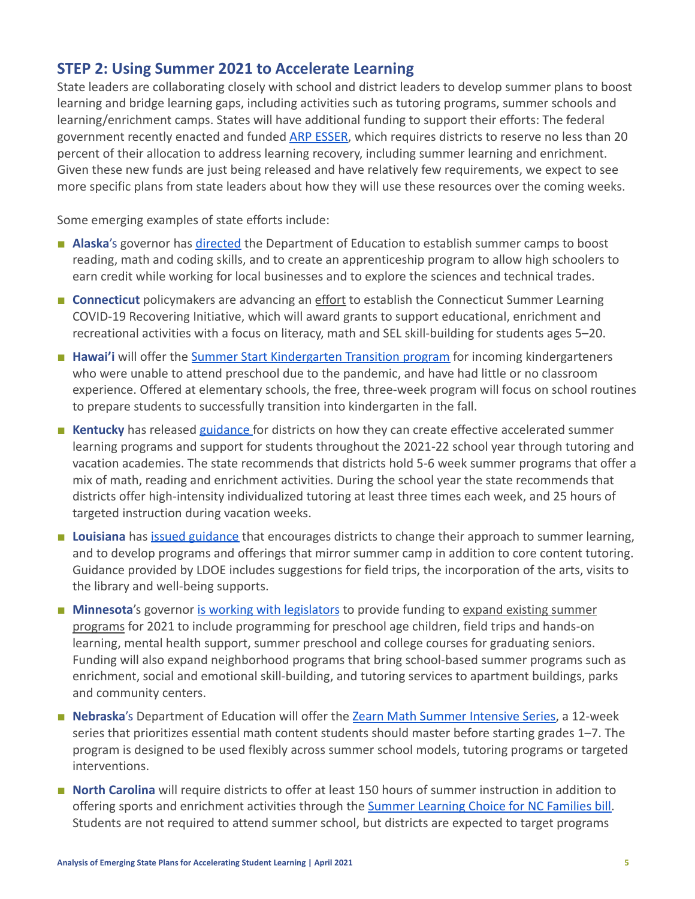## <span id="page-4-0"></span>**STEP 2: Using Summer 2021 to Accelerate Learning**

State leaders are collaborating closely with school and district leaders to develop summer plans to boost learning and bridge learning gaps, including activities such as tutoring programs, summer schools and learning/enrichment camps. States will have additional funding to support their efforts: The federal government recently enacted and funded [ARP ESSER,](#page-12-0) which requires districts to reserve no less than 20 percent of their allocation to address learning recovery, including summer learning and enrichment. Given these new funds are just being released and have relatively few requirements, we expect to see more specific plans from state leaders about how they will use these resources over the coming weeks.

Some emerging examples of state efforts include:

- **Alaska**'s governor has *[directed](https://gov.alaska.gov/newsroom/2021/01/28/governor-dunleavy-delivers-third-state-of-the-state-address-to-alaskans/)* the Department of Education to establish summer camps to boost reading, math and coding skills, and to create an apprenticeship program to allow high schoolers to earn credit while working for local businesses and to explore the sciences and technical trades.
- **Connecticut** policymakers are advancing an [effort](https://www.cga.ct.gov/2021/TOB/H/PDF/2021HB-05435-R00-HB.PDF) to establish the Connecticut Summer Learning COVID-19 Recovering Initiative, which will award grants to support educational, enrichment and recreational activities with a focus on literacy, math and SEL skill-building for students ages 5–20.
- **Hawai'i** will offer the [Summer Start Kindergarten Transition](https://www.documentcloud.org/documents/20605558-doe-letter-to-principals-on-summer-k-transition) program for incoming kindergarteners who were unable to attend preschool due to the pandemic, and have had little or no classroom experience. Offered at elementary schools, the free, three-week program will focus on school routines to prepare students to successfully transition into kindergarten in the fall.
- **Kentucky** has released [guidance](https://education.ky.gov/comm/Documents/Summer%20Learning.pdf) for districts on how they can create effective accelerated summer learning programs and support for students throughout the 2021-22 school year through tutoring and vacation academies. The state recommends that districts hold 5-6 week summer programs that offer a mix of math, reading and enrichment activities. During the school year the state recommends that districts offer high-intensity individualized tutoring at least three times each week, and 25 hours of targeted instruction during vacation weeks.
- **Louisiana** has *[issued guidance](https://urldefense.proofpoint.com/v2/url?u=http-3A__r20.rs6.net_tn.jsp-3Ff-3D001sN-5FBmRL3Sqq-2DPhja0si8pRbS9fNQl8hi6Z0tNQWNpJugGDz-2DVTKFCgyfsl3aWCytqaCcsRxtepw3mks4vJv-5FNhfiHqbD5NWjjjFzIvG5UQkI-5FgtYdTHa8pYbswMdpngpPr68bUFCT74FzdHygZ-2DdpyHWJHXflRU5sERI6FbptQSa3ohcp-2D0NcNhbk8bxqOFka2boiceVhG-2D-2DgX-2DUsDuRZ5mp2DvAUWD-5FZz29THKJNbi5E-5Fwpu8PsnTvUvB4Wv7bUHN-2DpEjZPiAhh6NiPbRLefZvz1uM3KDnz-26c-3Dut-5FFOdnWhaGrIqGe35ufOQ-2DvNufFNXIsEnp0AwY4pZNeK1JyIGmWNQ-3D-3D-26ch-3DpBtjD0zqQiNntWV958NUgLqYSjfnvMHj1IWsWhcd3MKRgl37eARFkQ-3D-3D&d=DwMFaQ&c=xlPCXuHzMdaH2Flc1sgyicYpGQbQbU9KDEmgNF3_wI0&r=M-Ugl2d0PL5j0Tk_2S75rEjHWFAX_fc7Ii4zmvRC8Bg&m=LBDtrOdSeGzmARbV-pBQUO-zHR47rfn5SVG_NBRRNp8&s=nv1xru8xu-WcUF6MMfsTxKgQKr2Zs0GAjYPir6gzyiM&e=)* that encourages districts to change their approach to summer learning, and to develop programs and offerings that mirror summer camp in addition to core content tutoring. Guidance provided by LDOE includes suggestions for field trips, the incorporation of the arts, visits to the library and well-being supports.
- **Minnesota**'s governor [is working with legislators](https://mn.gov/governor/news/?id=1055-473486) to provide funding to [expand existing summer](https://mn.gov/governor/assets/2021%20Fact%20Sheet_Ensuring%20Students%20Catch%20Up%20on%20Learning_final_tcm1055-466464.pdf) [programs](https://mn.gov/governor/assets/2021%20Fact%20Sheet_Ensuring%20Students%20Catch%20Up%20on%20Learning_final_tcm1055-466464.pdf) for 2021 to include programming for preschool age children, field trips and hands-on learning, mental health support, summer preschool and college courses for graduating seniors. Funding will also expand neighborhood programs that bring school-based summer programs such as enrichment, social and emotional skill-building, and tutoring services to apartment buildings, parks and community centers.
- **Nebraska**'s Department of Education will offer the [Zearn Math Summer Intensive Series,](https://about.zearn.org/nebraska-zearn-math-support) a 12-week series that prioritizes essential math content students should master before starting grades 1–7. The program is designed to be used flexibly across summer school models, tutoring programs or targeted interventions.
- **North Carolina** will require districts to offer at least 150 hours of summer instruction in addition to offering sports and enrichment activities through the [Summer Learning Choice for NC Families bill.](https://www.ncleg.gov/BillLookUp/2021/h82) Students are not required to attend summer school, but districts are expected to target programs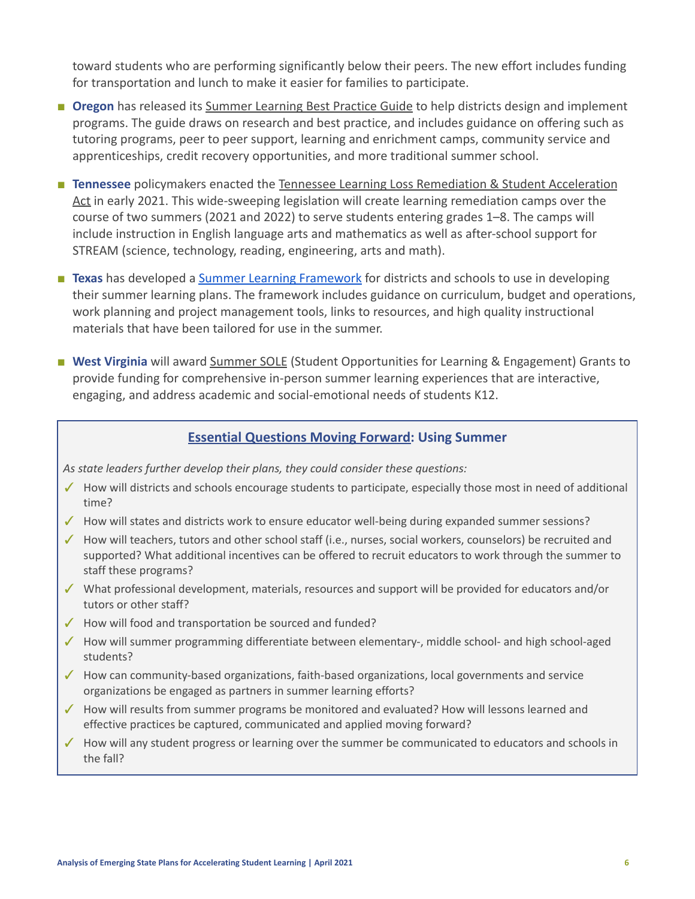toward students who are performing significantly below their peers. The new effort includes funding for transportation and lunch to make it easier for families to participate.

- **Oregon** has released its [Summer Learning Best Practice](https://www.oregon.gov/ode/students-and-family/healthsafety/Documents/Summer%20Learning%20Best%20Practice%20Guide%202021.pdf?utm_medium=email&utm_source=govdelivery) Guide to help districts design and implement programs. The guide draws on research and best practice, and includes guidance on offering such as tutoring programs, peer to peer support, learning and enrichment camps, community service and apprenticeships, credit recovery opportunities, and more traditional summer school.
- **Tennessee** policymakers enacted the Tennessee Learning [Loss Remediation & Student Acceleration](https://www.tn.gov/content/dam/tn/education/2020-21-leg-session/Overall%20Tennessee%20Learning%20Loss%20Remediation%20&%20Student%20Acceleration%20Act.pdf) [Act](https://www.tn.gov/content/dam/tn/education/2020-21-leg-session/Overall%20Tennessee%20Learning%20Loss%20Remediation%20&%20Student%20Acceleration%20Act.pdf) in early 2021. This wide-sweeping legislation will create learning remediation camps over the course of two summers (2021 and 2022) to serve students entering grades 1–8. The camps will include instruction in English language arts and mathematics as well as after-school support for STREAM (science, technology, reading, engineering, arts and math).
- **Texas** has developed a [Summer Learning Framework](https://texashomelearning.org/summer#SLF) for districts and schools to use in developing their summer learning plans. The framework includes guidance on curriculum, budget and operations, work planning and project management tools, links to resources, and high quality instructional materials that have been tailored for use in the summer.
- **West Virginia** will award [Summer SOLE](https://wvde.us/keeping-connected/funding-available-through-summer-sole-grant-program-february-26-2021/) (Student Opportunities for Learning & Engagement) Grants to provide funding for comprehensive in-person summer learning experiences that are interactive, engaging, and address academic and social-emotional needs of students K12.

### **Essential Questions Moving Forward: Using Summer**

*As state leaders further develop their plans, they could consider these questions:*

- ✓ How will districts and schools encourage students to participate, especially those most in need of additional time?
- ✓ How will states and districts work to ensure educator well-being during expanded summer sessions?
- ✓ How will teachers, tutors and other school staff (i.e., nurses, social workers, counselors) be recruited and supported? What additional incentives can be offered to recruit educators to work through the summer to staff these programs?
- ✓ What professional development, materials, resources and support will be provided for educators and/or tutors or other staff?
- ✓ How will food and transportation be sourced and funded?
- ✓ How will summer programming differentiate between elementary-, middle school- and high school-aged students?
- ✓ How can community-based organizations, faith-based organizations, local governments and service organizations be engaged as partners in summer learning efforts?
- ✓ How will results from summer programs be monitored and evaluated? How will lessons learned and effective practices be captured, communicated and applied moving forward?
- ✓ How will any student progress or learning over the summer be communicated to educators and schools in the fall?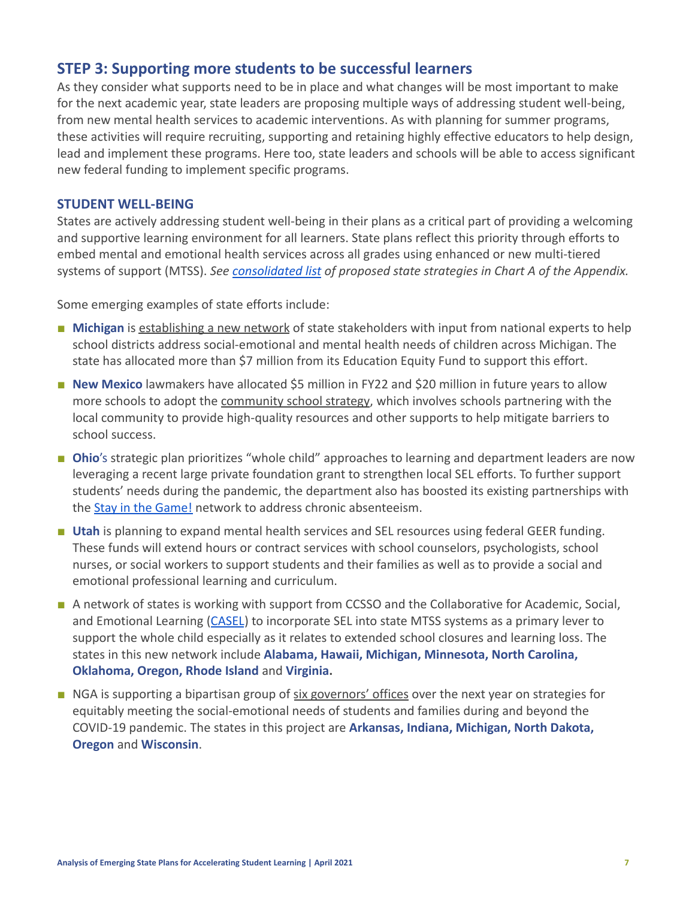## <span id="page-6-0"></span>**STEP 3: Supporting more students to be successful learners**

As they consider what supports need to be in place and what changes will be most important to make for the next academic year, state leaders are proposing multiple ways of addressing student well-being, from new mental health services to academic interventions. As with planning for summer programs, these activities will require recruiting, supporting and retaining highly effective educators to help design, lead and implement these programs. Here too, state leaders and schools will be able to access significant new federal funding to implement specific programs.

#### **STUDENT WELL-BEING**

States are actively addressing student well-being in their plans as a critical part of providing a welcoming and supportive learning environment for all learners. State plans reflect this priority through efforts to embed mental and emotional health services across all grades using enhanced or new multi-tiered systems of support (MTSS). *See [consolidated list](#page-11-0) of proposed state strategies in Chart A of the Appendix[.](#page-11-0)*

Some emerging examples of state efforts include:

- **Michigan** is [establishing a new network](https://www.michigan.gov/som/0,4669,7-192-29939_74350_76192-546559--,00.html) of state stakeholders with input from national experts to help school districts address social-emotional and mental health needs of children across Michigan. The state has allocated more than \$7 million from its Education Equity Fund to support this effort.
- **New Mexico** lawmakers have allocated \$5 million in FY22 and \$20 million in future years to allow more schools to adopt the [community school strategy](https://webnew.ped.state.nm.us/news-releases/), which involves schools partnering with the local community to provide high-quality resources and other supports to help mitigate barriers to school success.
- **Ohio**'s strategic plan prioritizes "whole child" approaches to learning and department leaders are now leveraging a recent large private foundation grant to strengthen local SEL efforts. To further support students' needs during the pandemic, the department also has boosted its existing partnerships with the [Stay in the Game!](http://education.ohio.gov/Topics/Research-Evaluation-and-Advanced-Analytics/Proving-Ground/Stay-in-the-Game) network to address chronic absenteeism.
- **Utah** is planning to expand mental health services and SEL resources using federal GEER funding. These funds will extend hours or contract services with school counselors, psychologists, school nurses, or social workers to support students and their families as well as to provide a social and emotional professional learning and curriculum.
- A network of states is working with support from CCSSO and the Collaborative for Academic, Social, and Emotional Learning ([CASEL](https://casel.org/)) to incorporate SEL into state MTSS systems as a primary lever to support the whole child especially as it relates to extended school closures and learning loss. The states in this new network include **Alabama, Hawaii, Michigan, Minnesota, North Carolina, Oklahoma, Oregon, Rhode Island** and **Virginia.**
- NGA is supporting a bipartisan group of [six governors'](https://www.nga.org/news/press-releases/national-governors-association-to-work-with-6-states-to-meet-social-and-emotional-needs-of-students-and-families/) offices over the next year on strategies for equitably meeting the social-emotional needs of students and families during and beyond the COVID-19 pandemic. The states in this project are **Arkansas, Indiana, Michigan, North Dakota, Oregon** and **Wisconsin**.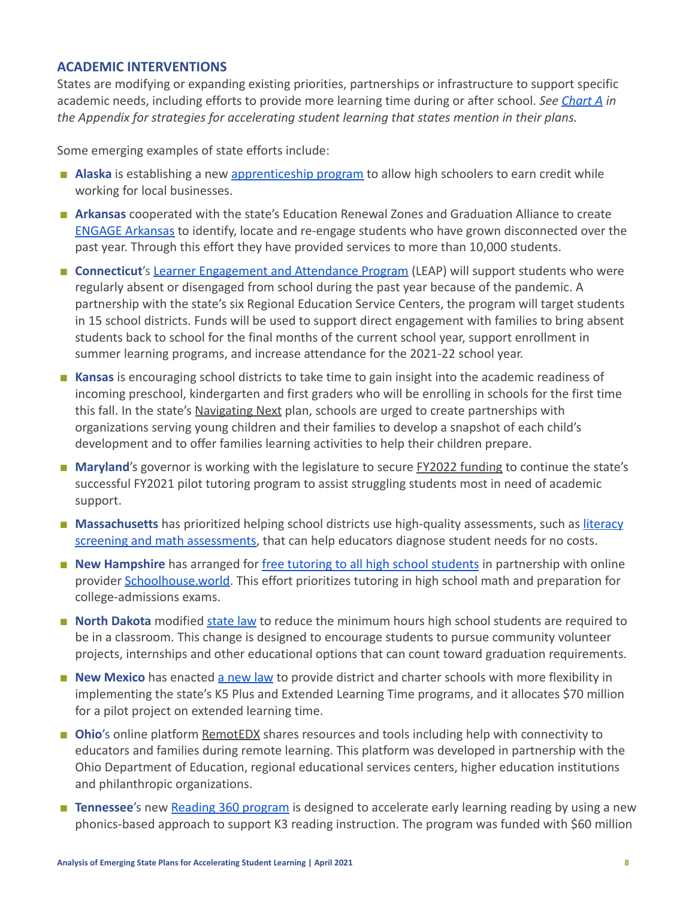#### **ACADEMIC INTERVENTIONS**

States are modifying or expanding existing priorities, partnerships or infrastructure to support specific academic needs, including efforts to provide more learning time during or after school. *See [Chart A](#page-11-0) in the Appendix for strategies for accelerating student learning that states mention in their plans.*

Some emerging examples of state efforts include:

- **Alaska** is establishing a new [apprenticeship program](https://gov.alaska.gov/newsroom/2021/01/28/governor-dunleavy-delivers-third-state-of-the-state-address-to-alaskans/) to allow high schoolers to earn credit while working for local businesses.
- **Arkansas** cooperated with the state's Education Renewal Zones and Graduation Alliance to create [ENGAGE Arkansas](https://dese.ade.arkansas.gov/Offices/special-projects/engage-arkansas) to identify, locate and re-engage students who have grown disconnected over the past year. Through this effort they have provided services to more than 10,000 students.
- **Connecticut's [Learner Engagement and Attendance Program](https://portal.ct.gov/Office-of-the-Governor/News/Press-Releases/2021/04-2021/Governor-Lamont-Launches-State-Initiative-To-Address-Student-Absenteeism-and-Disengagement) (LEAP) will support students who were** regularly absent or disengaged from school during the past year because of the pandemic. A partnership with the state's six Regional Education Service Centers, the program will target students in 15 school districts. Funds will be used to support direct engagement with families to bring absent students back to school for the final months of the current school year, support enrollment in summer learning programs, and increase attendance for the 2021-22 school year.
- **Kansas** is encouraging school districts to take time to gain insight into the academic readiness of incoming preschool, kindergarten and first graders who will be enrolling in schools for the first time this fall. In the state's [Navigating Next](https://www.ksde.org/Portals/0/Communications/Navigating%20Next/Navigating-Next.pdf) plan, schools are urged to create partnerships with organizations serving young children and their families to develop a snapshot of each child's development and to offer families learning activities to help their children prepare.
- **Maryland's** governor is working with the legislature to secure **FY2022** funding to continue the state's successful FY2021 pilot tutoring program to assist struggling students most in need of academic support.
- **Massachusetts** has prioritized helping school districts use high-quality assessments, such as [literacy](https://www.doe.mass.edu/instruction/no-cost/) [screening and math assessments,](https://www.doe.mass.edu/instruction/no-cost/) that can help educators diagnose student needs for no costs.
- **New Hampshire** has arranged for free tutoring to all [high school students](https://www.education.nh.gov/news/new-hampshire-department-education-announces-free-student-tutoring-service) in partnership with online provider [Schoolhouse.world.](https://schoolhouse.world/) This effort prioritizes tutoring in high school math and preparation for college-admissions exams.
- **North Dakota** modified [state law](https://www.governor.nd.gov/news/burgum-signs-pathways-graduation-bill-providing-flexibility-promote-personalized-learning) to reduce the minimum hours high school students are required to be in a classroom. This change is designed to encourage students to pursue community volunteer projects, internships and other educational options that can count toward graduation requirements.
- **New Mexico** has enacted [a new law](https://webnew.ped.state.nm.us/news-releases/) to provide district and charter schools with more flexibility in implementing the state's K5 Plus and Extended Learning Time programs, and it allocates \$70 million for a pilot project on extended learning time.
- **Ohio**'s online platform [RemotEDX](https://www.ohio-k12.help/remotedx/) shares resources and tools including help with connectivity to educators and families during remote learning. This platform was developed in partnership with the Ohio Department of Education, regional educational services centers, higher education institutions and philanthropic organizations.
- **Tennessee**'s new [Reading 360 program](https://www.tn.gov/content/dam/tn/education/images/Reading%20360%201%20pager.pdf) is designed to accelerate early learning reading by using a new phonics-based approach to support K3 reading instruction. The program was funded with \$60 million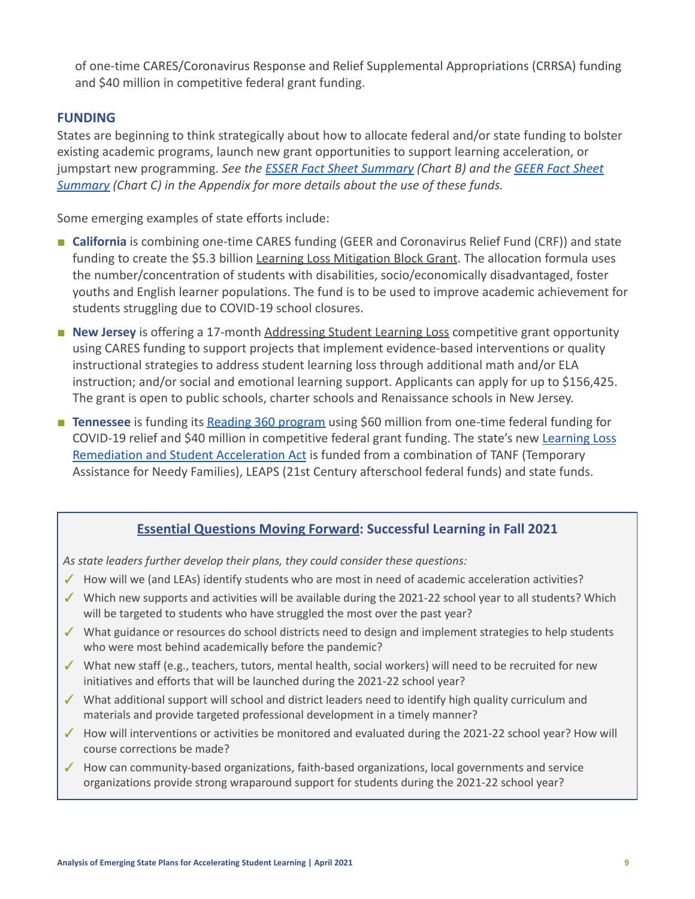of one-time CARES/Coronavirus Response and Relief Supplemental Appropriations (CRRSA) funding and \$40 million in competitive federal grant funding.

### **FUNDING**

States are beginning to think strategically about how to allocate federal and/or state funding to bolster existing academic programs, launch new grant opportunities to support learning acceleration, or jumpstart new programming. *See the [ESSER Fact Sheet](#page-12-0) Summary (Chart B) and the [GEER Fact Sheet](#page-13-0) [Summary](#page-13-0) (Chart C) in the Appendix for more details about the use of these funds.*

Some emerging examples of state efforts include:

- **■ California** is combining one-time CARES funding (GEER and Coronavirus Relief Fund (CRF)) and state funding to create the \$5.3 billion [Learning Loss Mitigation](https://www.cde.ca.gov/fg/cr/learningloss.asp) Block Grant. The allocation formula uses the number/concentration of students with disabilities, socio/economically disadvantaged, foster youths and English learner populations. The fund is to be used to improve academic achievement for students struggling due to COVID-19 school closures.
- **New Jersey** is offering a 17-month [Addressing Student](https://www.nj.gov/education/grants/opportunities/2021/21-SS01-H05.shtml) Learning Loss competitive grant opportunity using CARES funding to support projects that implement evidence-based interventions or quality instructional strategies to address student learning loss through additional math and/or ELA instruction; and/or social and emotional learning support. Applicants can apply for up to \$156,425. The grant is open to public schools, charter schools and Renaissance schools in New Jersey.
- **Tennessee** is funding its [Reading 360 program](https://www.tn.gov/education/top-links/reading-360.html) using \$60 million from one-time federal funding for COVID-19 relief and \$40 million in competitive federal grant funding. The state's new [Learning Loss](https://www.tn.gov/content/dam/tn/education/2020-21-leg-session/Overall%20Tennessee%20Learning%20Loss%20Remediation%20&%20Student%20Acceleration%20Act.pdf) [Remediation and Student Acceleration Act](https://www.tn.gov/content/dam/tn/education/2020-21-leg-session/Overall%20Tennessee%20Learning%20Loss%20Remediation%20&%20Student%20Acceleration%20Act.pdf) is funded from a combination of TANF (Temporary Assistance for Needy Families), LEAPS (21st Century afterschool federal funds) and state funds.

### **Essential Questions Moving Forward: Successful Learning in Fall 2021**

*As state leaders further develop their plans, they could consider these questions:*

- ✓ How will we (and LEAs) identify students who are most in need of academic acceleration activities?
- ✓ Which new supports and activities will be available during the 2021-22 school year to all students? Which will be targeted to students who have struggled the most over the past year?
- ✓ What guidance or resources do school districts need to design and implement strategies to help students who were most behind academically before the pandemic?
- ✓ What new staff (e.g., teachers, tutors, mental health, social workers) will need to be recruited for new initiatives and efforts that will be launched during the 2021-22 school year?
- ✓ What additional support will school and district leaders need to identify high quality curriculum and materials and provide targeted professional development in a timely manner?
- ✓ How will interventions or activities be monitored and evaluated during the 2021-22 school year? How will course corrections be made?
- ✓ How can community-based organizations, faith-based organizations, local governments and service organizations provide strong wraparound support for students during the 2021-22 school year?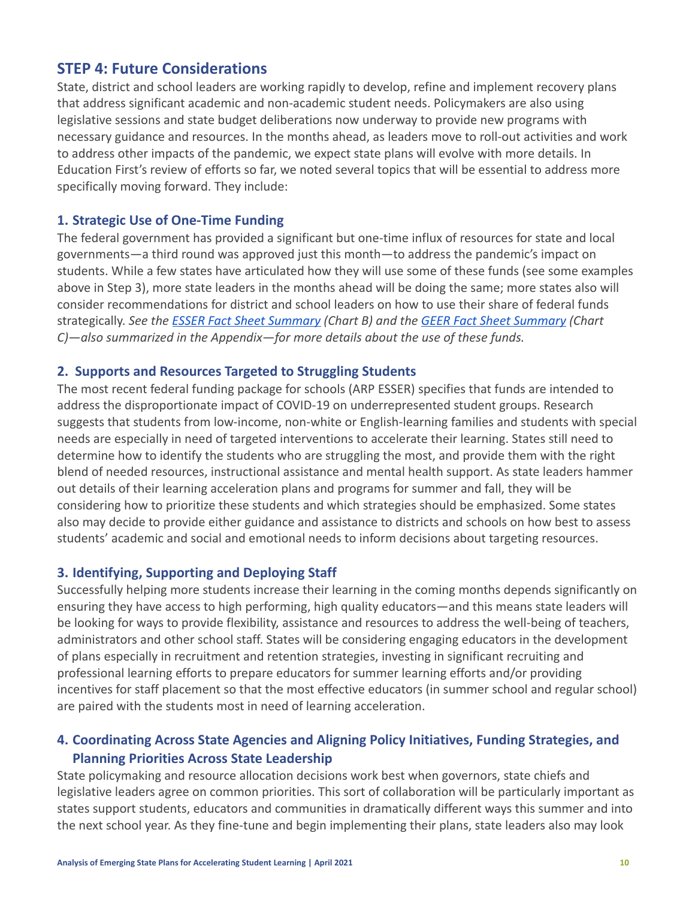## <span id="page-9-0"></span>**STEP 4: Future Considerations**

State, district and school leaders are working rapidly to develop, refine and implement recovery plans that address significant academic and non-academic student needs. Policymakers are also using legislative sessions and state budget deliberations now underway to provide new programs with necessary guidance and resources. In the months ahead, as leaders move to roll-out activities and work to address other impacts of the pandemic, we expect state plans will evolve with more details. In Education First's review of efforts so far, we noted several topics that will be essential to address more specifically moving forward. They include:

### **1. Strategic Use of One-Time Funding**

The federal government has provided a significant but one-time influx of resources for state and local governments—a third round was approved just this month—to address the pandemic's impact on students. While a few states have articulated how they will use some of these funds (see some examples above in Step 3), more state leaders in the months ahead will be doing the same; more states also will consider recommendations for district and school leaders on how to use their share of federal funds strategically. *See the [ESSER Fact Sheet Summary](#page-12-0) (Chart B) and the [GEER Fact Sheet Summary](#page-13-0) (Chart C)—also summarized in the Appendix—for more details about the use of these funds.*

### **2. Supports and Resources Targeted to Struggling Students**

The most recent federal funding package for schools (ARP ESSER) specifies that funds are intended to address the disproportionate impact of COVID-19 on underrepresented student groups. Research suggests that students from low-income, non-white or English-learning families and students with special needs are especially in need of targeted interventions to accelerate their learning. States still need to determine how to identify the students who are struggling the most, and provide them with the right blend of needed resources, instructional assistance and mental health support. As state leaders hammer out details of their learning acceleration plans and programs for summer and fall, they will be considering how to prioritize these students and which strategies should be emphasized. Some states also may decide to provide either guidance and assistance to districts and schools on how best to assess students' academic and social and emotional needs to inform decisions about targeting resources.

### **3. Identifying, Supporting and Deploying Staff**

Successfully helping more students increase their learning in the coming months depends significantly on ensuring they have access to high performing, high quality educators—and this means state leaders will be looking for ways to provide flexibility, assistance and resources to address the well-being of teachers, administrators and other school staff. States will be considering engaging educators in the development of plans especially in recruitment and retention strategies, investing in significant recruiting and professional learning efforts to prepare educators for summer learning efforts and/or providing incentives for staff placement so that the most effective educators (in summer school and regular school) are paired with the students most in need of learning acceleration.

## **4. Coordinating Across State Agencies and Aligning Policy Initiatives, Funding Strategies, and Planning Priorities Across State Leadership**

State policymaking and resource allocation decisions work best when governors, state chiefs and legislative leaders agree on common priorities. This sort of collaboration will be particularly important as states support students, educators and communities in dramatically different ways this summer and into the next school year. As they fine-tune and begin implementing their plans, state leaders also may look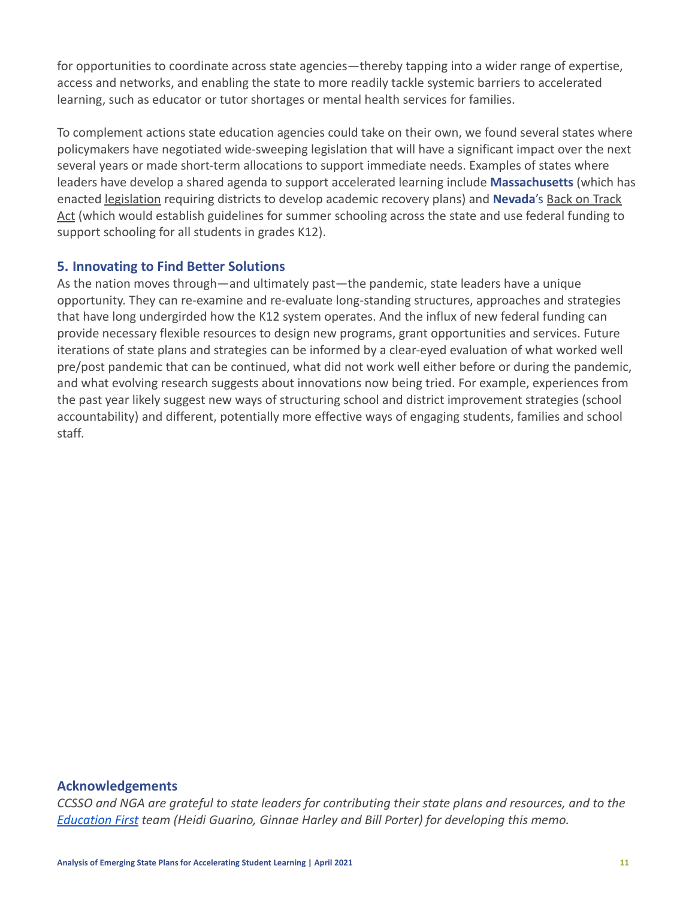for opportunities to coordinate across state agencies—thereby tapping into a wider range of expertise, access and networks, and enabling the state to more readily tackle systemic barriers to accelerated learning, such as educator or tutor shortages or mental health services for families.

To complement actions state education agencies could take on their own, we found several states where policymakers have negotiated wide-sweeping legislation that will have a significant impact over the next several years or made short-term allocations to support immediate needs. Examples of states where leaders have develop a shared agenda to support accelerated learning include **Massachusetts** (which has enacted [legislation](https://malegislature.gov/Bills/191/H4616) requiring districts to develop academic recovery plans) and **Nevada**'s [Back on Track](https://www.leg.state.nv.us/App/NELIS/REL/81st2021/Bill/7587/Text) [Act](https://www.leg.state.nv.us/App/NELIS/REL/81st2021/Bill/7587/Text) (which would establish guidelines for summer schooling across the state and use federal funding to support schooling for all students in grades K12).

## **5. Innovating to Find Better Solutions**

As the nation moves through—and ultimately past—the pandemic, state leaders have a unique opportunity. They can re-examine and re-evaluate long-standing structures, approaches and strategies that have long undergirded how the K12 system operates. And the influx of new federal funding can provide necessary flexible resources to design new programs, grant opportunities and services. Future iterations of state plans and strategies can be informed by a clear-eyed evaluation of what worked well pre/post pandemic that can be continued, what did not work well either before or during the pandemic, and what evolving research suggests about innovations now being tried. For example, experiences from the past year likely suggest new ways of structuring school and district improvement strategies (school accountability) and different, potentially more effective ways of engaging students, families and school staff*.*

#### **Acknowledgements**

*CCSSO and NGA are grateful to state leaders for contributing their state plans and resources, and to the [Education First](https://education-first.com/) team (Heidi Guarino, Ginnae Harley and Bill Porter) for developing this memo.*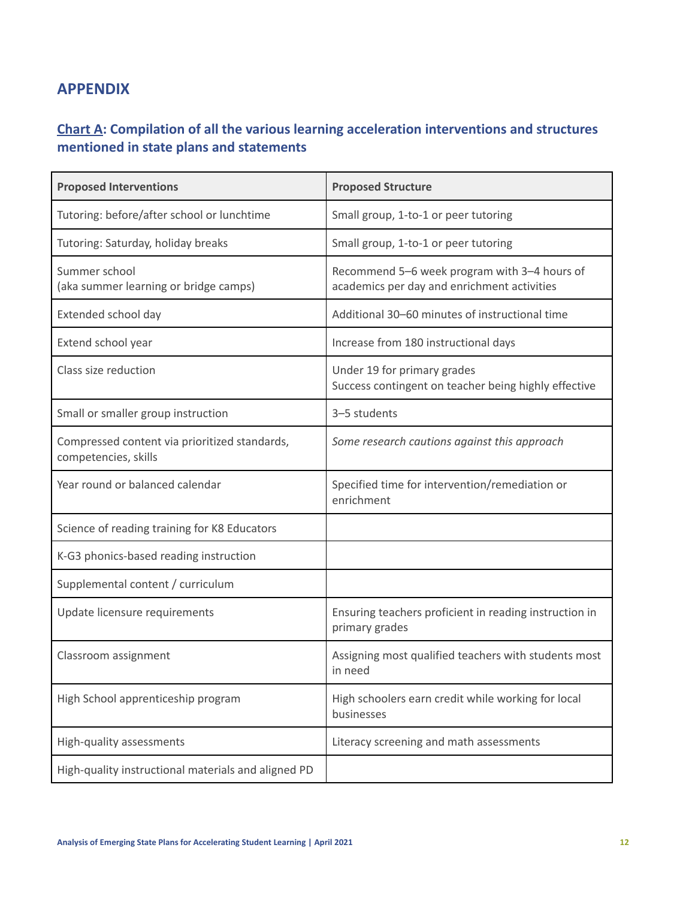## **APPENDIX**

## <span id="page-11-0"></span>**Chart A: Compilation of all the various learning acceleration interventions and structures mentioned in state plans and statements**

| <b>Proposed Interventions</b>                                         | <b>Proposed Structure</b>                                                                   |
|-----------------------------------------------------------------------|---------------------------------------------------------------------------------------------|
| Tutoring: before/after school or lunchtime                            | Small group, 1-to-1 or peer tutoring                                                        |
| Tutoring: Saturday, holiday breaks                                    | Small group, 1-to-1 or peer tutoring                                                        |
| Summer school<br>(aka summer learning or bridge camps)                | Recommend 5-6 week program with 3-4 hours of<br>academics per day and enrichment activities |
| Extended school day                                                   | Additional 30-60 minutes of instructional time                                              |
| Extend school year                                                    | Increase from 180 instructional days                                                        |
| Class size reduction                                                  | Under 19 for primary grades<br>Success contingent on teacher being highly effective         |
| Small or smaller group instruction                                    | 3-5 students                                                                                |
| Compressed content via prioritized standards,<br>competencies, skills | Some research cautions against this approach                                                |
| Year round or balanced calendar                                       | Specified time for intervention/remediation or<br>enrichment                                |
| Science of reading training for K8 Educators                          |                                                                                             |
| K-G3 phonics-based reading instruction                                |                                                                                             |
| Supplemental content / curriculum                                     |                                                                                             |
| Update licensure requirements                                         | Ensuring teachers proficient in reading instruction in<br>primary grades                    |
| Classroom assignment                                                  | Assigning most qualified teachers with students most<br>in need                             |
| High School apprenticeship program                                    | High schoolers earn credit while working for local<br>businesses                            |
| High-quality assessments                                              | Literacy screening and math assessments                                                     |
| High-quality instructional materials and aligned PD                   |                                                                                             |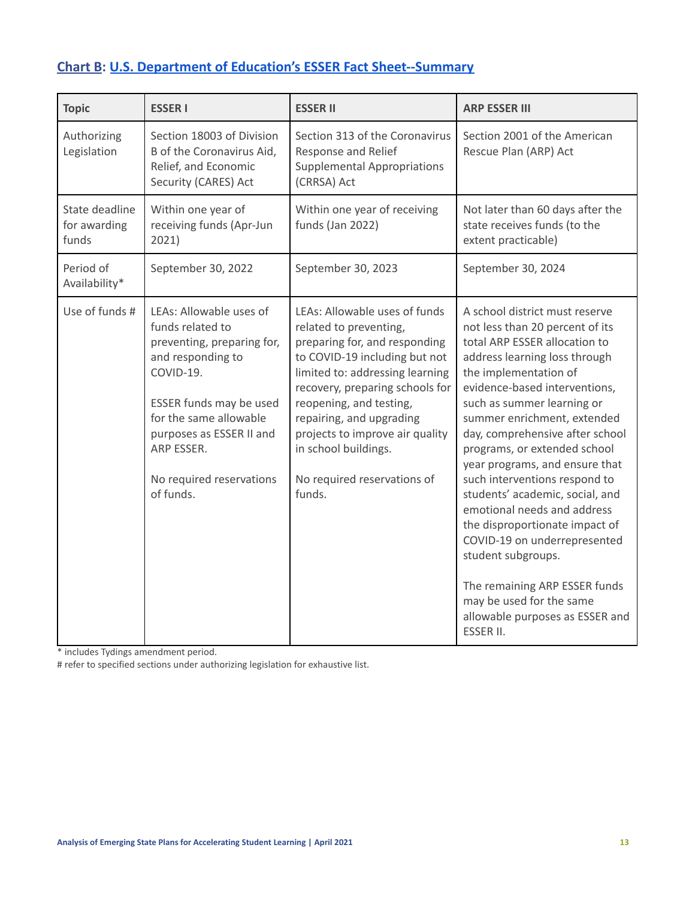# <span id="page-12-0"></span>**Chart B: U.S. Department of Education's ESSER Fact [Sheet--Summary](https://oese.ed.gov/files/2021/03/FINAL_ARP-ESSER-FACT-SHEET.pdf)**

| <b>Topic</b>                            | <b>ESSER I</b>                                                                                                                                                                                                                                      | <b>ESSER II</b>                                                                                                                                                                                                                                                                                                                                            | <b>ARP ESSER III</b>                                                                                                                                                                                                                                                                                                                                                                                                                                                                                                                                                                                                                                                           |
|-----------------------------------------|-----------------------------------------------------------------------------------------------------------------------------------------------------------------------------------------------------------------------------------------------------|------------------------------------------------------------------------------------------------------------------------------------------------------------------------------------------------------------------------------------------------------------------------------------------------------------------------------------------------------------|--------------------------------------------------------------------------------------------------------------------------------------------------------------------------------------------------------------------------------------------------------------------------------------------------------------------------------------------------------------------------------------------------------------------------------------------------------------------------------------------------------------------------------------------------------------------------------------------------------------------------------------------------------------------------------|
| Authorizing<br>Legislation              | Section 18003 of Division<br>B of the Coronavirus Aid,<br>Relief, and Economic<br>Security (CARES) Act                                                                                                                                              | Section 313 of the Coronavirus<br>Response and Relief<br><b>Supplemental Appropriations</b><br>(CRRSA) Act                                                                                                                                                                                                                                                 | Section 2001 of the American<br>Rescue Plan (ARP) Act                                                                                                                                                                                                                                                                                                                                                                                                                                                                                                                                                                                                                          |
| State deadline<br>for awarding<br>funds | Within one year of<br>receiving funds (Apr-Jun<br>2021)                                                                                                                                                                                             | Within one year of receiving<br>funds (Jan 2022)                                                                                                                                                                                                                                                                                                           | Not later than 60 days after the<br>state receives funds (to the<br>extent practicable)                                                                                                                                                                                                                                                                                                                                                                                                                                                                                                                                                                                        |
| Period of<br>Availability*              | September 30, 2022                                                                                                                                                                                                                                  | September 30, 2023                                                                                                                                                                                                                                                                                                                                         | September 30, 2024                                                                                                                                                                                                                                                                                                                                                                                                                                                                                                                                                                                                                                                             |
| Use of funds #                          | LEAs: Allowable uses of<br>funds related to<br>preventing, preparing for,<br>and responding to<br>COVID-19.<br>ESSER funds may be used<br>for the same allowable<br>purposes as ESSER II and<br>ARP ESSER.<br>No required reservations<br>of funds. | LEAs: Allowable uses of funds<br>related to preventing,<br>preparing for, and responding<br>to COVID-19 including but not<br>limited to: addressing learning<br>recovery, preparing schools for<br>reopening, and testing,<br>repairing, and upgrading<br>projects to improve air quality<br>in school buildings.<br>No required reservations of<br>funds. | A school district must reserve<br>not less than 20 percent of its<br>total ARP ESSER allocation to<br>address learning loss through<br>the implementation of<br>evidence-based interventions,<br>such as summer learning or<br>summer enrichment, extended<br>day, comprehensive after school<br>programs, or extended school<br>year programs, and ensure that<br>such interventions respond to<br>students' academic, social, and<br>emotional needs and address<br>the disproportionate impact of<br>COVID-19 on underrepresented<br>student subgroups.<br>The remaining ARP ESSER funds<br>may be used for the same<br>allowable purposes as ESSER and<br><b>ESSER II.</b> |

\* includes Tydings amendment period.

# refer to specified sections under authorizing legislation for exhaustive list.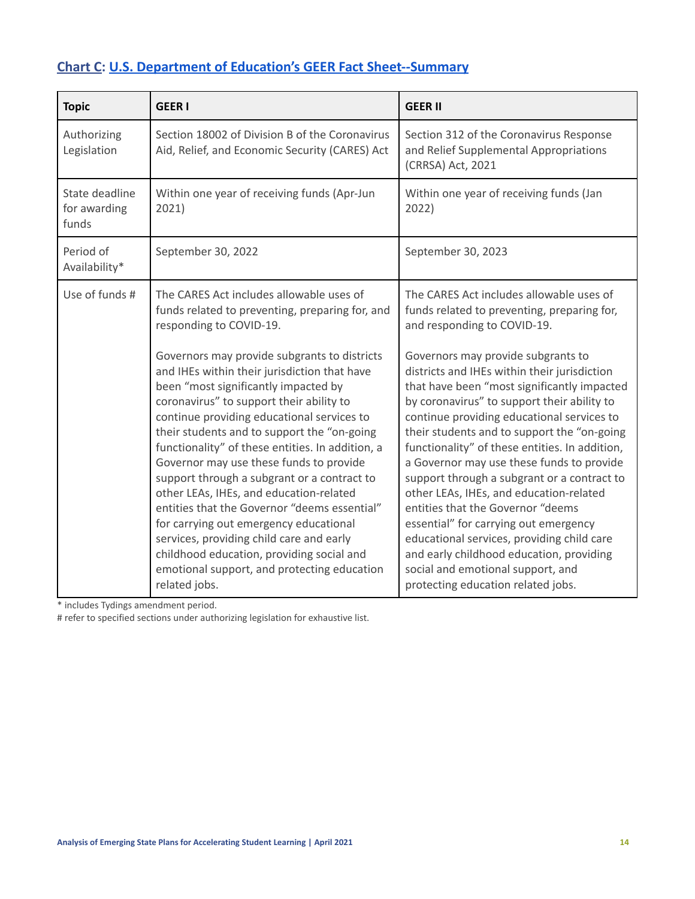# <span id="page-13-0"></span>**Chart C: U.S. Department of Education's GEER Fact [Sheet--Summary](https://oese.ed.gov/files/2021/01/FINAL_-GEER_FactSheet_1.8.211.pdf)**

| <b>Topic</b>                            | <b>GEERI</b>                                                                                                                                                                                                                                                                                                                                                                                                                                                                                                                                                                                                                                                                                                                                                                                                                       | <b>GEER II</b>                                                                                                                                                                                                                                                                                                                                                                                                                                                                                                                                                                                                                                                                                                                                                                                                |
|-----------------------------------------|------------------------------------------------------------------------------------------------------------------------------------------------------------------------------------------------------------------------------------------------------------------------------------------------------------------------------------------------------------------------------------------------------------------------------------------------------------------------------------------------------------------------------------------------------------------------------------------------------------------------------------------------------------------------------------------------------------------------------------------------------------------------------------------------------------------------------------|---------------------------------------------------------------------------------------------------------------------------------------------------------------------------------------------------------------------------------------------------------------------------------------------------------------------------------------------------------------------------------------------------------------------------------------------------------------------------------------------------------------------------------------------------------------------------------------------------------------------------------------------------------------------------------------------------------------------------------------------------------------------------------------------------------------|
| Authorizing<br>Legislation              | Section 18002 of Division B of the Coronavirus<br>Aid, Relief, and Economic Security (CARES) Act                                                                                                                                                                                                                                                                                                                                                                                                                                                                                                                                                                                                                                                                                                                                   | Section 312 of the Coronavirus Response<br>and Relief Supplemental Appropriations<br>(CRRSA) Act, 2021                                                                                                                                                                                                                                                                                                                                                                                                                                                                                                                                                                                                                                                                                                        |
| State deadline<br>for awarding<br>funds | Within one year of receiving funds (Apr-Jun<br>2021)                                                                                                                                                                                                                                                                                                                                                                                                                                                                                                                                                                                                                                                                                                                                                                               | Within one year of receiving funds (Jan<br>2022)                                                                                                                                                                                                                                                                                                                                                                                                                                                                                                                                                                                                                                                                                                                                                              |
| Period of<br>Availability*              | September 30, 2022                                                                                                                                                                                                                                                                                                                                                                                                                                                                                                                                                                                                                                                                                                                                                                                                                 | September 30, 2023                                                                                                                                                                                                                                                                                                                                                                                                                                                                                                                                                                                                                                                                                                                                                                                            |
| Use of funds #                          | The CARES Act includes allowable uses of<br>funds related to preventing, preparing for, and<br>responding to COVID-19.<br>Governors may provide subgrants to districts<br>and IHEs within their jurisdiction that have<br>been "most significantly impacted by<br>coronavirus" to support their ability to<br>continue providing educational services to<br>their students and to support the "on-going<br>functionality" of these entities. In addition, a<br>Governor may use these funds to provide<br>support through a subgrant or a contract to<br>other LEAs, IHEs, and education-related<br>entities that the Governor "deems essential"<br>for carrying out emergency educational<br>services, providing child care and early<br>childhood education, providing social and<br>emotional support, and protecting education | The CARES Act includes allowable uses of<br>funds related to preventing, preparing for,<br>and responding to COVID-19.<br>Governors may provide subgrants to<br>districts and IHEs within their jurisdiction<br>that have been "most significantly impacted<br>by coronavirus" to support their ability to<br>continue providing educational services to<br>their students and to support the "on-going<br>functionality" of these entities. In addition,<br>a Governor may use these funds to provide<br>support through a subgrant or a contract to<br>other LEAs, IHEs, and education-related<br>entities that the Governor "deems<br>essential" for carrying out emergency<br>educational services, providing child care<br>and early childhood education, providing<br>social and emotional support, and |

\* includes Tydings amendment period.

# refer to specified sections under authorizing legislation for exhaustive list.